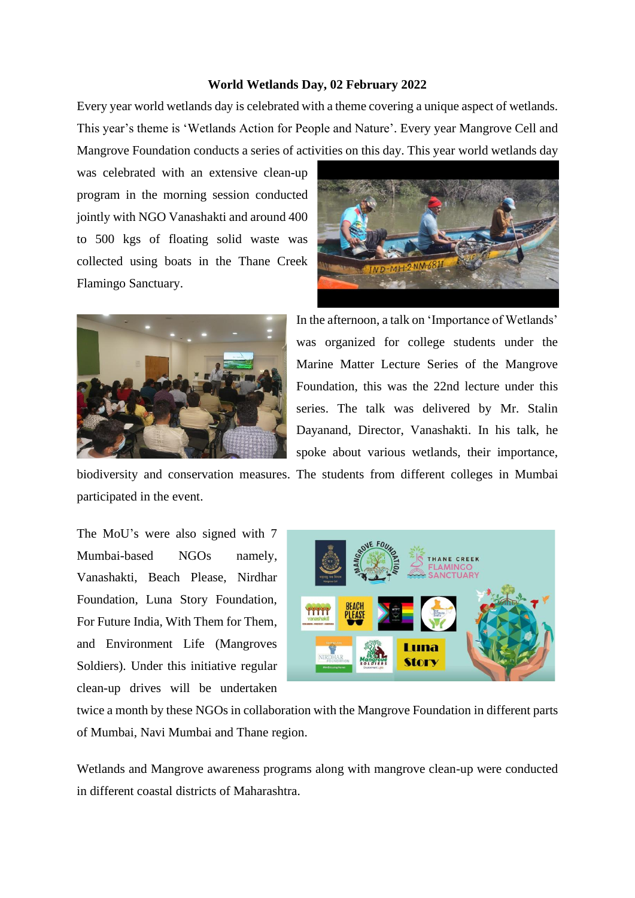## **World Wetlands Day, 02 February 2022**

Every year world wetlands day is celebrated with a theme covering a unique aspect of wetlands. This year's theme is 'Wetlands Action for People and Nature'. Every year Mangrove Cell and Mangrove Foundation conducts a series of activities on this day. This year world wetlands day

was celebrated with an extensive clean-up program in the morning session conducted jointly with NGO Vanashakti and around 400 to 500 kgs of floating solid waste was collected using boats in the Thane Creek Flamingo Sanctuary.





In the afternoon, a talk on 'Importance of Wetlands' was organized for college students under the Marine Matter Lecture Series of the Mangrove Foundation, this was the 22nd lecture under this series. The talk was delivered by Mr. Stalin Dayanand, Director, Vanashakti. In his talk, he spoke about various wetlands, their importance,

biodiversity and conservation measures. The students from different colleges in Mumbai participated in the event.

The MoU's were also signed with 7 Mumbai-based NGOs namely, Vanashakti, Beach Please, Nirdhar Foundation, Luna Story Foundation, For Future India, With Them for Them, and Environment Life (Mangroves Soldiers). Under this initiative regular clean-up drives will be undertaken



twice a month by these NGOs in collaboration with the Mangrove Foundation in different parts of Mumbai, Navi Mumbai and Thane region.

Wetlands and Mangrove awareness programs along with mangrove clean-up were conducted in different coastal districts of Maharashtra.